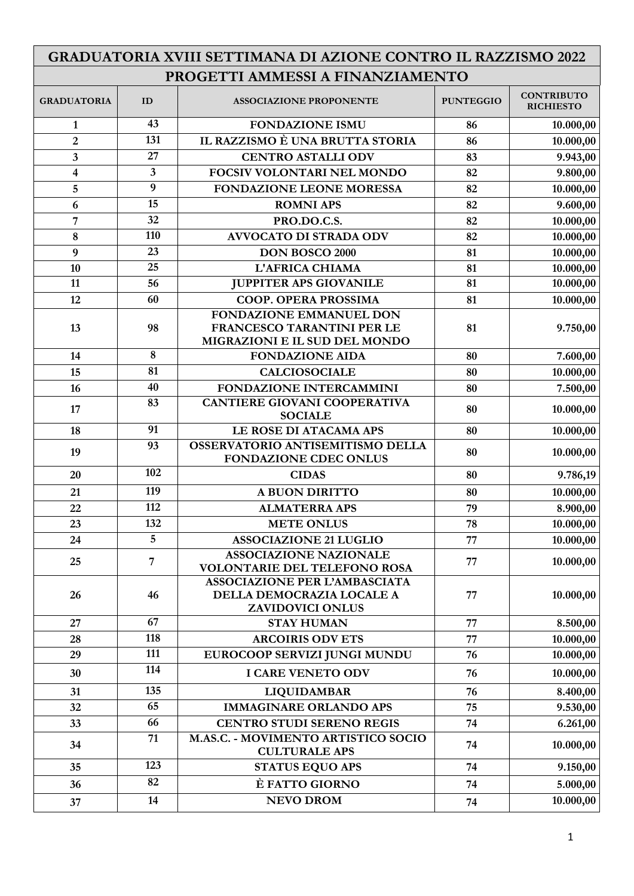| GRADUATORIA XVIII SETTIMANA DI AZIONE CONTRO IL RAZZISMO 2022 |                         |                                                                                              |                  |                                       |
|---------------------------------------------------------------|-------------------------|----------------------------------------------------------------------------------------------|------------------|---------------------------------------|
| PROGETTI AMMESSI A FINANZIAMENTO                              |                         |                                                                                              |                  |                                       |
| <b>GRADUATORIA</b>                                            | ID                      | <b>ASSOCIAZIONE PROPONENTE</b>                                                               | <b>PUNTEGGIO</b> | <b>CONTRIBUTO</b><br><b>RICHIESTO</b> |
| $\mathbf{1}$                                                  | 43                      | <b>FONDAZIONE ISMU</b>                                                                       | 86               | 10.000,00                             |
| $\overline{2}$                                                | 131                     | IL RAZZISMO È UNA BRUTTA STORIA                                                              | 86               | 10.000,00                             |
| $\overline{\mathbf{3}}$                                       | 27                      | <b>CENTRO ASTALLI ODV</b>                                                                    | 83               | 9.943,00                              |
| $\overline{\mathbf{4}}$                                       | $\overline{\mathbf{3}}$ | FOCSIV VOLONTARI NEL MONDO                                                                   | 82               | 9.800,00                              |
| 5                                                             | 9                       | <b>FONDAZIONE LEONE MORESSA</b>                                                              | 82               | 10.000,00                             |
| 6                                                             | 15                      | <b>ROMNI APS</b>                                                                             | 82               | 9.600,00                              |
| 7                                                             | 32                      | PRO.DO.C.S.                                                                                  | 82               | 10.000,00                             |
| 8                                                             | 110                     | <b>AVVOCATO DI STRADA ODV</b>                                                                | 82               | 10.000,00                             |
| 9                                                             | 23                      | <b>DON BOSCO 2000</b>                                                                        | 81               | 10.000,00                             |
| 10                                                            | 25                      | L'AFRICA CHIAMA                                                                              | 81               | 10.000,00                             |
| 11                                                            | 56                      | <b>JUPPITER APS GIOVANILE</b>                                                                | 81               | 10.000,00                             |
| 12                                                            | 60                      | <b>COOP. OPERA PROSSIMA</b>                                                                  | 81               | 10.000,00                             |
|                                                               |                         | FONDAZIONE EMMANUEL DON                                                                      |                  |                                       |
| 13                                                            | 98                      | FRANCESCO TARANTINI PER LE                                                                   | 81               | 9.750,00                              |
|                                                               | 8                       | MIGRAZIONI E IL SUD DEL MONDO                                                                |                  |                                       |
| 14                                                            | 81                      | <b>FONDAZIONE AIDA</b>                                                                       | 80               | 7.600,00                              |
| 15                                                            | 40                      | <b>CALCIOSOCIALE</b>                                                                         | 80               | 10.000,00                             |
| 16                                                            | 83                      | FONDAZIONE INTERCAMMINI<br>CANTIERE GIOVANI COOPERATIVA                                      | 80               | 7.500,00                              |
| 17                                                            |                         | <b>SOCIALE</b>                                                                               | 80               | 10.000,00                             |
| 18                                                            | 91                      | LE ROSE DI ATACAMA APS                                                                       | 80               | 10.000,00                             |
| 19                                                            | 93                      | OSSERVATORIO ANTISEMITISMO DELLA<br><b>FONDAZIONE CDEC ONLUS</b>                             | 80               | 10.000,00                             |
| 20                                                            | 102                     | <b>CIDAS</b>                                                                                 | 80               | 9.786,19                              |
| 21                                                            | 119                     | <b>A BUON DIRITTO</b>                                                                        | 80               | 10.000,00                             |
| 22                                                            | 112                     | <b>ALMATERRA APS</b>                                                                         | 79               | 8.900,00                              |
| 23                                                            | 132                     | <b>METE ONLUS</b>                                                                            | 78               | 10.000,00                             |
| 24                                                            | 5                       | <b>ASSOCIAZIONE 21 LUGLIO</b>                                                                | 77               | 10.000,00                             |
| 25                                                            | $\overline{7}$          | <b>ASSOCIAZIONE NAZIONALE</b>                                                                | 77               | 10.000,00                             |
|                                                               |                         | <b>VOLONTARIE DEL TELEFONO ROSA</b>                                                          |                  |                                       |
| 26                                                            | 46                      | <b>ASSOCIAZIONE PER L'AMBASCIATA</b><br>DELLA DEMOCRAZIA LOCALE A<br><b>ZAVIDOVICI ONLUS</b> | 77               | 10.000,00                             |
| 27                                                            | 67                      | <b>STAY HUMAN</b>                                                                            | 77               | 8.500,00                              |
| 28                                                            | 118                     | <b>ARCOIRIS ODV ETS</b>                                                                      | 77               | 10.000,00                             |
| 29                                                            | 111                     | EUROCOOP SERVIZI JUNGI MUNDU                                                                 | 76               | 10.000,00                             |
| 30                                                            | 114                     | <b>I CARE VENETO ODV</b>                                                                     | 76               | 10.000,00                             |
| 31                                                            | 135                     | <b>LIQUIDAMBAR</b>                                                                           | 76               | 8.400,00                              |
| 32                                                            | 65                      | <b>IMMAGINARE ORLANDO APS</b>                                                                | 75               | 9.530,00                              |
| 33                                                            | 66                      | <b>CENTRO STUDI SERENO REGIS</b>                                                             | 74               | 6.261,00                              |
| 34                                                            | 71                      | M.AS.C. - MOVIMENTO ARTISTICO SOCIO<br><b>CULTURALE APS</b>                                  | 74               | 10.000,00                             |
| 35                                                            | 123                     | <b>STATUS EQUO APS</b>                                                                       | 74               | 9.150,00                              |
| 36                                                            | 82                      | È FATTO GIORNO                                                                               | 74               | 5.000,00                              |
| 37                                                            | 14                      | <b>NEVO DROM</b>                                                                             | 74               | 10.000,00                             |

┑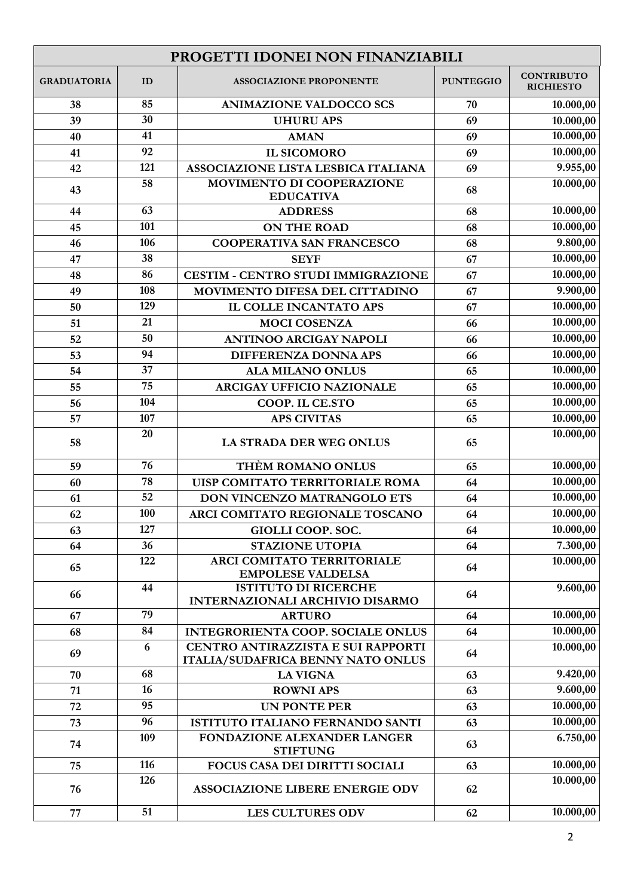| PROGETTI IDONEI NON FINANZIABILI |     |                                                                         |                  |                                       |
|----------------------------------|-----|-------------------------------------------------------------------------|------------------|---------------------------------------|
| <b>GRADUATORIA</b>               | ID  | <b>ASSOCIAZIONE PROPONENTE</b>                                          | <b>PUNTEGGIO</b> | <b>CONTRIBUTO</b><br><b>RICHIESTO</b> |
| 38                               | 85  | <b>ANIMAZIONE VALDOCCO SCS</b>                                          | 70               | 10.000,00                             |
| 39                               | 30  | <b>UHURU APS</b>                                                        | 69               | 10.000,00                             |
| 40                               | 41  | <b>AMAN</b>                                                             | 69               | 10.000,00                             |
| 41                               | 92  | <b>IL SICOMORO</b>                                                      | 69               | 10.000,00                             |
| 42                               | 121 | ASSOCIAZIONE LISTA LESBICA ITALIANA                                     | 69               | 9.955,00                              |
| 43                               | 58  | MOVIMENTO DI COOPERAZIONE<br><b>EDUCATIVA</b>                           | 68               | $\overline{10.000,00}$                |
| 44                               | 63  | <b>ADDRESS</b>                                                          | 68               | 10.000,00                             |
| 45                               | 101 | <b>ON THE ROAD</b>                                                      | 68               | 10.000,00                             |
| 46                               | 106 | <b>COOPERATIVA SAN FRANCESCO</b>                                        | 68               | 9.800,00                              |
| 47                               | 38  | <b>SEYF</b>                                                             | 67               | 10.000,00                             |
| 48                               | 86  | <b>CESTIM - CENTRO STUDI IMMIGRAZIONE</b>                               | 67               | 10.000,00                             |
| 49                               | 108 | MOVIMENTO DIFESA DEL CITTADINO                                          | 67               | 9.900,00                              |
| 50                               | 129 | <b>IL COLLE INCANTATO APS</b>                                           | 67               | 10.000,00                             |
| 51                               | 21  | <b>MOCI COSENZA</b>                                                     | 66               | 10.000,00                             |
| 52                               | 50  | <b>ANTINOO ARCIGAY NAPOLI</b>                                           | 66               | 10.000,00                             |
| 53                               | 94  | DIFFERENZA DONNA APS                                                    | 66               | 10.000,00                             |
| 54                               | 37  | <b>ALA MILANO ONLUS</b>                                                 | 65               | 10.000,00                             |
| 55                               | 75  | ARCIGAY UFFICIO NAZIONALE                                               | 65               | 10.000,00                             |
| 56                               | 104 | COOP. IL CE.STO                                                         | 65               | 10.000,00                             |
| 57                               | 107 | <b>APS CIVITAS</b>                                                      | 65               | 10.000,00                             |
| 58                               | 20  | LA STRADA DER WEG ONLUS                                                 | 65               | 10.000,00                             |
| 59                               | 76  | THÈM ROMANO ONLUS                                                       | 65               | 10.000,00                             |
| 60                               | 78  | UISP COMITATO TERRITORIALE ROMA                                         | 64               | 10.000,00                             |
| 61                               | 52  | DON VINCENZO MATRANGOLO ETS                                             | 64               | 10.000,00                             |
| 62                               | 100 | ARCI COMITATO REGIONALE TOSCANO                                         | 64               | $\overline{10.000,00}$                |
| 63                               | 127 | GIOLLI COOP. SOC.                                                       | 64               | 10.000,00                             |
| 64                               | 36  | <b>STAZIONE UTOPIA</b>                                                  | 64               | 7.300,00                              |
| 65                               | 122 | ARCI COMITATO TERRITORIALE<br><b>EMPOLESE VALDELSA</b>                  | 64               | 10.000,00                             |
| 66                               | 44  | <b>ISTITUTO DI RICERCHE</b><br>INTERNAZIONALI ARCHIVIO DISARMO          | 64               | 9.600,00                              |
| 67                               | 79  | <b>ARTURO</b>                                                           | 64               | 10.000,00                             |
| 68                               | 84  | <b>INTEGRORIENTA COOP. SOCIALE ONLUS</b>                                | 64               | 10.000,00                             |
| 69                               | 6   | CENTRO ANTIRAZZISTA E SUI RAPPORTI<br>ITALIA/SUDAFRICA BENNY NATO ONLUS | 64               | 10.000,00                             |
| 70                               | 68  | <b>LA VIGNA</b>                                                         | 63               | 9.420,00                              |
| 71                               | 16  | <b>ROWNI APS</b>                                                        | 63               | 9.600,00                              |
| 72                               | 95  | <b>UN PONTE PER</b>                                                     | 63               | 10.000,00                             |
| 73                               | 96  | ISTITUTO ITALIANO FERNANDO SANTI                                        | 63               | 10.000,00                             |
| 74                               | 109 | FONDAZIONE ALEXANDER LANGER<br><b>STIFTUNG</b>                          | 63               | 6.750,00                              |
| 75                               | 116 | FOCUS CASA DEI DIRITTI SOCIALI                                          | 63               | 10.000,00                             |
| 76                               | 126 | <b>ASSOCIAZIONE LIBERE ENERGIE ODV</b>                                  | 62               | 10.000,00                             |
| 77                               | 51  | <b>LES CULTURES ODV</b>                                                 | 62               | 10.000,00                             |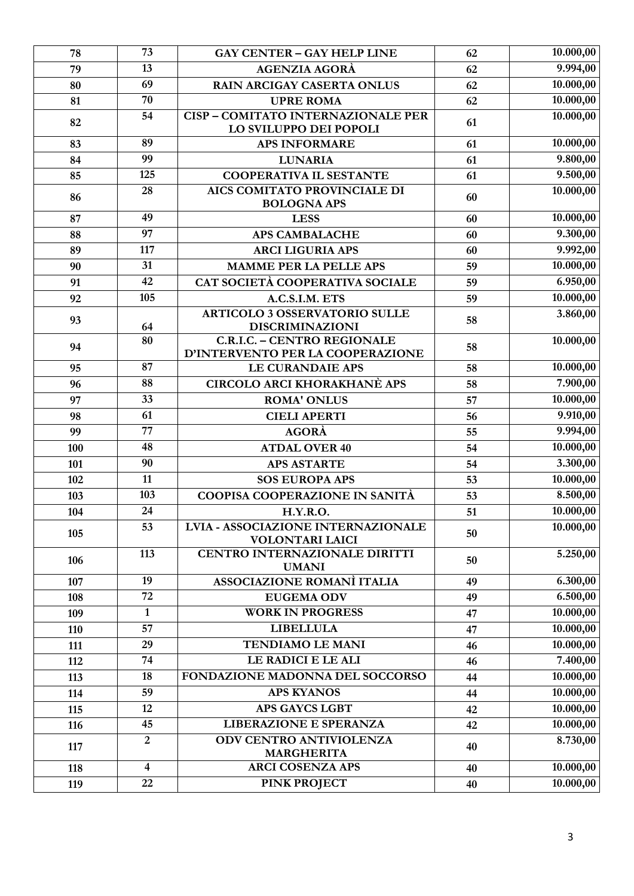| 78  | 73             | <b>GAY CENTER - GAY HELP LINE</b>                                      | 62 | 10.000,00 |
|-----|----------------|------------------------------------------------------------------------|----|-----------|
| 79  | 13             | <b>AGENZIA AGORÀ</b>                                                   | 62 | 9.994,00  |
| 80  | 69             | <b>RAIN ARCIGAY CASERTA ONLUS</b>                                      | 62 | 10.000,00 |
| 81  | 70             | <b>UPRE ROMA</b>                                                       | 62 | 10.000,00 |
| 82  | 54             | <b>CISP-COMITATO INTERNAZIONALE PER</b><br>LO SVILUPPO DEI POPOLI      | 61 | 10.000,00 |
| 83  | 89             | <b>APS INFORMARE</b>                                                   | 61 | 10.000,00 |
| 84  | 99             | <b>LUNARIA</b>                                                         | 61 | 9.800,00  |
| 85  | 125            | <b>COOPERATIVA IL SESTANTE</b>                                         | 61 | 9.500,00  |
| 86  | 28             | <b>AICS COMITATO PROVINCIALE DI</b><br><b>BOLOGNA APS</b>              | 60 | 10.000,00 |
| 87  | 49             | <b>LESS</b>                                                            | 60 | 10.000,00 |
| 88  | 97             | <b>APS CAMBALACHE</b>                                                  | 60 | 9.300,00  |
| 89  | 117            | <b>ARCI LIGURIA APS</b>                                                | 60 | 9.992,00  |
| 90  | 31             | <b>MAMME PER LA PELLE APS</b>                                          | 59 | 10.000,00 |
| 91  | 42             | CAT SOCIETÀ COOPERATIVA SOCIALE                                        | 59 | 6.950,00  |
| 92  | 105            | A.C.S.I.M. ETS                                                         | 59 | 10.000,00 |
| 93  | 64             | <b>ARTICOLO 3 OSSERVATORIO SULLE</b><br>DISCRIMINAZIONI                | 58 | 3.860,00  |
| 94  | 80             | <b>C.R.I.C. - CENTRO REGIONALE</b><br>D'INTERVENTO PER LA COOPERAZIONE | 58 | 10.000,00 |
| 95  | 87             | <b>LE CURANDAIE APS</b>                                                | 58 | 10.000,00 |
| 96  | 88             | <b>CIRCOLO ARCI KHORAKHANÈ APS</b>                                     | 58 | 7.900,00  |
| 97  | 33             | <b>ROMA' ONLUS</b>                                                     | 57 | 10.000,00 |
| 98  | 61             | <b>CIELI APERTI</b>                                                    | 56 | 9.910,00  |
| 99  | 77             | <b>AGORÀ</b>                                                           | 55 | 9.994,00  |
| 100 | 48             | <b>ATDAL OVER 40</b>                                                   | 54 | 10.000,00 |
| 101 | 90             | <b>APS ASTARTE</b>                                                     | 54 | 3.300,00  |
| 102 | 11             | <b>SOS EUROPA APS</b>                                                  | 53 | 10.000,00 |
| 103 | 103            | <b>COOPISA COOPERAZIONE IN SANITÀ</b>                                  | 53 | 8.500,00  |
| 104 | 24             | <b>H.Y.R.O.</b>                                                        | 51 | 10.000,00 |
| 105 | 53             | <b>LVIA - ASSOCIAZIONE INTERNAZIONALE</b><br><b>VOLONTARI LAICI</b>    | 50 | 10.000,00 |
| 106 | 113            | CENTRO INTERNAZIONALE DIRITTI<br><b>UMANI</b>                          | 50 | 5.250,00  |
| 107 | 19             | <b>ASSOCIAZIONE ROMANÌ ITALIA</b>                                      | 49 | 6.300,00  |
| 108 | 72             | <b>EUGEMA ODV</b>                                                      | 49 | 6.500,00  |
| 109 | $\mathbf{1}$   | <b>WORK IN PROGRESS</b>                                                | 47 | 10.000,00 |
| 110 | 57             | <b>LIBELLULA</b>                                                       | 47 | 10.000,00 |
| 111 | 29             | <b>TENDIAMO LE MANI</b>                                                | 46 | 10.000,00 |
| 112 | 74             | LE RADICI E LE ALI                                                     | 46 | 7.400,00  |
| 113 | 18             | FONDAZIONE MADONNA DEL SOCCORSO                                        | 44 | 10.000,00 |
| 114 | 59             | <b>APS KYANOS</b>                                                      | 44 | 10.000,00 |
| 115 | 12             | <b>APS GAYCS LGBT</b>                                                  | 42 | 10.000,00 |
| 116 | 45             | LIBERAZIONE E SPERANZA                                                 | 42 | 10.000,00 |
| 117 | $\overline{2}$ | ODV CENTRO ANTIVIOLENZA<br><b>MARGHERITA</b>                           | 40 | 8.730,00  |
| 118 | 4              | <b>ARCI COSENZA APS</b>                                                | 40 | 10.000,00 |
| 119 | 22             | <b>PINK PROJECT</b>                                                    | 40 | 10.000,00 |